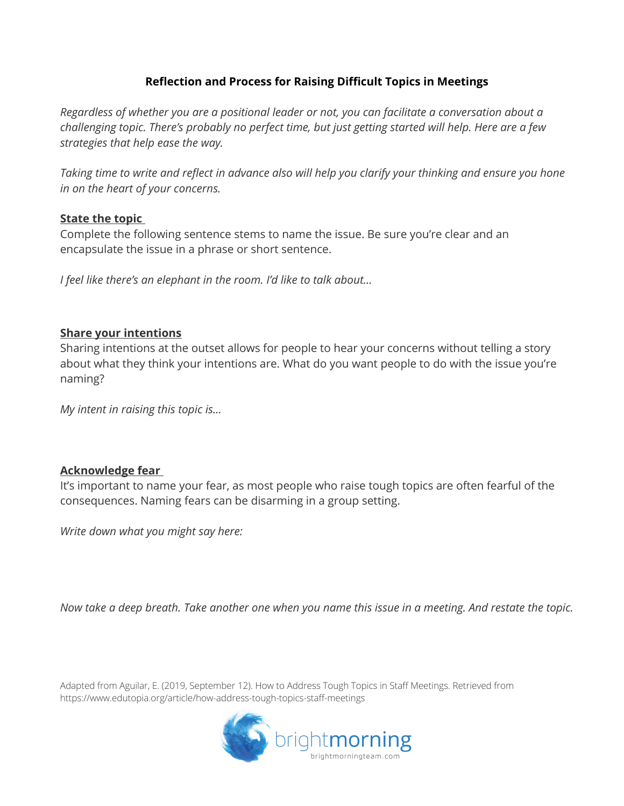### **Reflection and Process for Raising Difficult Topics in Meetings**

*Regardless of whether you are a positional leader or not, you can facilitate a conversation about a challenging topic. There's probably no perfect time, but just getting started will help. Here are a few strategies that help ease the way.*

*Taking time to write and reflect in advance also will help you clarify your thinking and ensure you hone in on the heart of your concerns.*

### **State the topic**

Complete the following sentence stems to name the issue. Be sure you're clear and an encapsulate the issue in a phrase or short sentence.

*I feel like there's an elephant in the room. I'd like to talk about…*

### **Share your intentions**

Sharing intentions at the outset allows for people to hear your concerns without telling a story about what they think your intentions are. What do you want people to do with the issue you're naming?

*My intent in raising this topic is…*

### **Acknowledge fear**

It's important to name your fear, as most people who raise tough topics are often fearful of the consequences. Naming fears can be disarming in a group setting.

*Write down what you might say here:*

*Now take a deep breath. Take another one when you name this issue in a meeting. And restate the topic.*

Adapted from Aguilar, E. (2019, September 12). How to Address Tough Topics in Staff Meetings. Retrieved from https://www.edutopia.org/article/how-address-tough-topics-staff-meetings